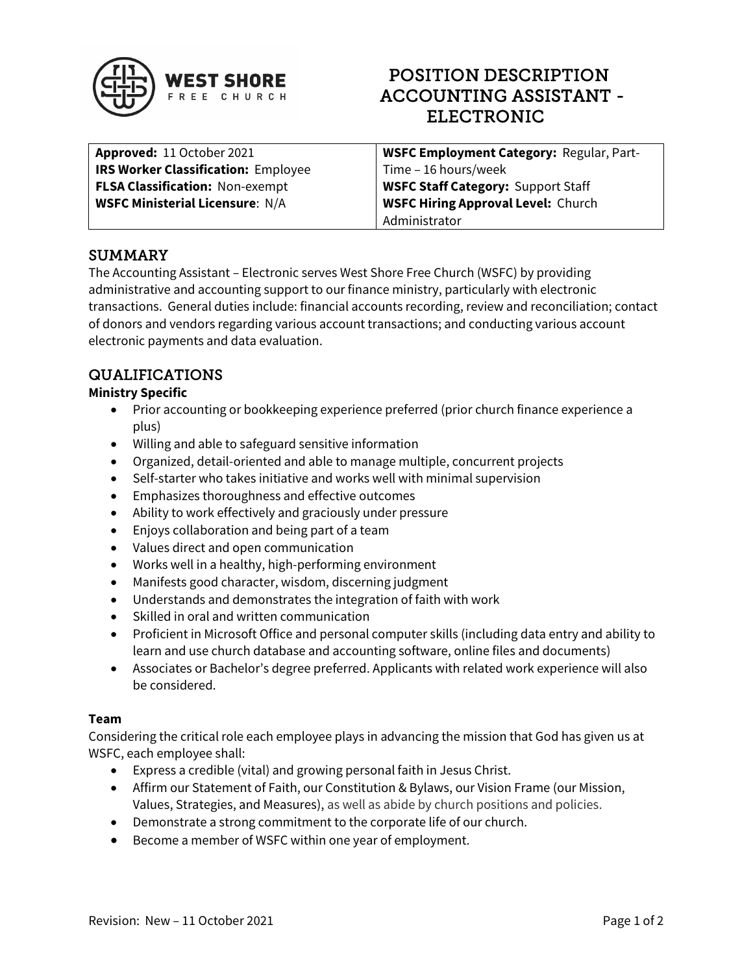

# POSITION DESCRIPTION ACCOUNTING ASSISTANT - ELECTRONIC

| Approved: 11 October 2021                  | <b>WSFC Employment Category: Regular, Part-</b> |
|--------------------------------------------|-------------------------------------------------|
| <b>IRS Worker Classification: Employee</b> | <sup>1</sup> Time - 16 hours/week               |
| <b>FLSA Classification: Non-exempt</b>     | <b>WSFC Staff Category: Support Staff</b>       |
| <b>WSFC Ministerial Licensure: N/A</b>     | <b>WSFC Hiring Approval Level: Church</b>       |
|                                            | Administrator                                   |

## SUMMARY

The Accounting Assistant – Electronic serves West Shore Free Church (WSFC) by providing administrative and accounting support to our finance ministry, particularly with electronic transactions. General duties include: financial accounts recording, review and reconciliation; contact of donors and vendors regarding various account transactions; and conducting various account electronic payments and data evaluation.

## QUALIFICATIONS

### Ministry Specific

- Prior accounting or bookkeeping experience preferred (prior church finance experience a plus)
- Willing and able to safeguard sensitive information
- Organized, detail-oriented and able to manage multiple, concurrent projects
- Self-starter who takes initiative and works well with minimal supervision
- Emphasizes thoroughness and effective outcomes
- Ability to work effectively and graciously under pressure
- Enjoys collaboration and being part of a team
- Values direct and open communication
- Works well in a healthy, high-performing environment
- Manifests good character, wisdom, discerning judgment
- Understands and demonstrates the integration of faith with work
- Skilled in oral and written communication
- Proficient in Microsoft Office and personal computer skills (including data entry and ability to learn and use church database and accounting software, online files and documents)
- Associates or Bachelor's degree preferred. Applicants with related work experience will also be considered.

#### Team

Considering the critical role each employee plays in advancing the mission that God has given us at WSFC, each employee shall:

- Express a credible (vital) and growing personal faith in Jesus Christ.
- Affirm our Statement of Faith, our Constitution & Bylaws, our Vision Frame (our Mission, Values, Strategies, and Measures), as well as abide by church positions and policies.
- Demonstrate a strong commitment to the corporate life of our church.
- Become a member of WSFC within one year of employment.